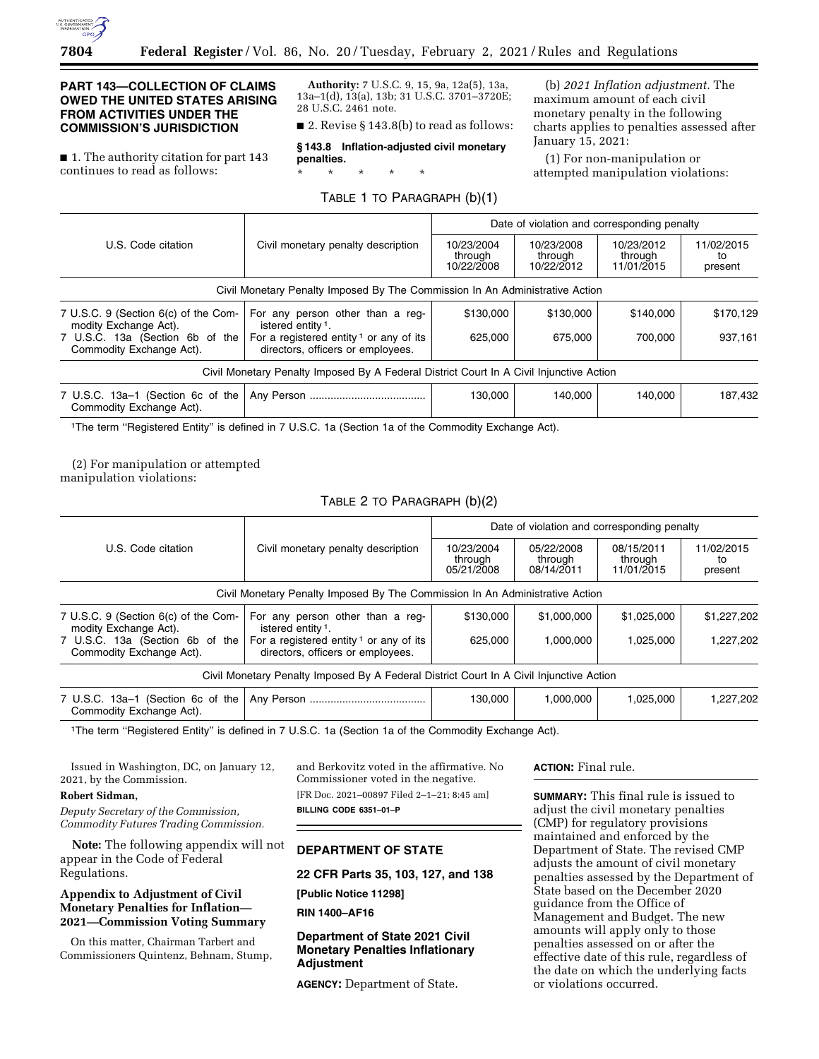

# **PART 143—COLLECTION OF CLAIMS OWED THE UNITED STATES ARISING FROM ACTIVITIES UNDER THE COMMISSION'S JURISDICTION**

■ 1. The authority citation for part 143 continues to read as follows:

**Authority:** 7 U.S.C. 9, 15, 9a, 12a(5), 13a, 13a–1(d), 13(a), 13b; 31 U.S.C. 3701–3720E; 28 U.S.C. 2461 note.

■ 2. Revise § 143.8(b) to read as follows:

**§ 143.8 Inflation-adjusted civil monetary penalties.** 

\* \* \* \* \*

## TABLE 1 TO PARAGRAPH (b)(1)

(b) *2021 Inflation adjustment.* The maximum amount of each civil monetary penalty in the following charts applies to penalties assessed after January 15, 2021:

(1) For non-manipulation or attempted manipulation violations:

| U.S. Code citation                                            | Civil monetary penalty description                                                      | Date of violation and corresponding penalty |                                     |                                     |                             |
|---------------------------------------------------------------|-----------------------------------------------------------------------------------------|---------------------------------------------|-------------------------------------|-------------------------------------|-----------------------------|
|                                                               |                                                                                         | 10/23/2004<br>through<br>10/22/2008         | 10/23/2008<br>through<br>10/22/2012 | 10/23/2012<br>through<br>11/01/2015 | 11/02/2015<br>to<br>present |
|                                                               | Civil Monetary Penalty Imposed By The Commission In An Administrative Action            |                                             |                                     |                                     |                             |
| 7 U.S.C. 9 (Section 6(c) of the Com-<br>modity Exchange Act). | For any person other than a reg-<br>istered entity <sup>1</sup> .                       | \$130,000                                   | \$130,000                           | \$140,000                           | \$170,129                   |
| 7 U.S.C. 13a (Section 6b of the<br>Commodity Exchange Act).   | For a registered entity <sup>1</sup> or any of its<br>directors, officers or employees. | 625.000                                     | 675.000                             | 700.000                             | 937,161                     |
|                                                               | Civil Monetary Penalty Imposed By A Federal District Court In A Civil Injunctive Action |                                             |                                     |                                     |                             |
| 7 U.S.C. 13a-1 (Section 6c of the<br>Commodity Exchange Act). |                                                                                         | 130.000                                     | 140.000                             | 140.000                             | 187.432                     |

1The term ''Registered Entity'' is defined in 7 U.S.C. 1a (Section 1a of the Commodity Exchange Act).

# (2) For manipulation or attempted

manipulation violations:

# TABLE 2 TO PARAGRAPH (b)(2)

|                                                               | Civil monetary penalty description                                                       | Date of violation and corresponding penalty |                                     |                                     |                             |
|---------------------------------------------------------------|------------------------------------------------------------------------------------------|---------------------------------------------|-------------------------------------|-------------------------------------|-----------------------------|
| U.S. Code citation                                            |                                                                                          | 10/23/2004<br>through<br>05/21/2008         | 05/22/2008<br>through<br>08/14/2011 | 08/15/2011<br>through<br>11/01/2015 | 11/02/2015<br>to<br>present |
|                                                               | Civil Monetary Penalty Imposed By The Commission In An Administrative Action             |                                             |                                     |                                     |                             |
| 7 U.S.C. 9 (Section 6(c) of the Com-<br>modity Exchange Act). | For any person other than a reg-<br>istered entity <sup>1</sup> .                        | \$130,000                                   | \$1,000,000                         | \$1,025,000                         | \$1,227,202                 |
| 7 U.S.C. 13a (Section 6b of the<br>Commodity Exchange Act).   | For a registered entity $\frac{1}{1}$ or any of its<br>directors, officers or employees. | 625.000                                     | 1.000.000                           | 1.025.000                           | 1,227,202                   |
|                                                               | Civil Monetary Penalty Imposed By A Federal District Court In A Civil Injunctive Action  |                                             |                                     |                                     |                             |
| 7 U.S.C. 13a-1 (Section 6c of the<br>Commodity Exchange Act). |                                                                                          | 130,000                                     | 1,000,000                           | 1,025,000                           | 1,227,202                   |

1The term ''Registered Entity'' is defined in 7 U.S.C. 1a (Section 1a of the Commodity Exchange Act).

Issued in Washington, DC, on January 12, 2021, by the Commission.

## **Robert Sidman,**

*Deputy Secretary of the Commission, Commodity Futures Trading Commission.* 

**Note:** The following appendix will not appear in the Code of Federal Regulations.

## **Appendix to Adjustment of Civil Monetary Penalties for Inflation— 2021—Commission Voting Summary**

On this matter, Chairman Tarbert and Commissioners Quintenz, Behnam, Stump, and Berkovitz voted in the affirmative. No Commissioner voted in the negative. [FR Doc. 2021–00897 Filed 2–1–21; 8:45 am] **BILLING CODE 6351–01–P** 

# **DEPARTMENT OF STATE**

## **22 CFR Parts 35, 103, 127, and 138**

**[Public Notice 11298]** 

**RIN 1400–AF16** 

**Department of State 2021 Civil Monetary Penalties Inflationary Adjustment** 

**AGENCY:** Department of State.

## **ACTION:** Final rule.

**SUMMARY:** This final rule is issued to adjust the civil monetary penalties (CMP) for regulatory provisions maintained and enforced by the Department of State. The revised CMP adjusts the amount of civil monetary penalties assessed by the Department of State based on the December 2020 guidance from the Office of Management and Budget. The new amounts will apply only to those penalties assessed on or after the effective date of this rule, regardless of the date on which the underlying facts or violations occurred.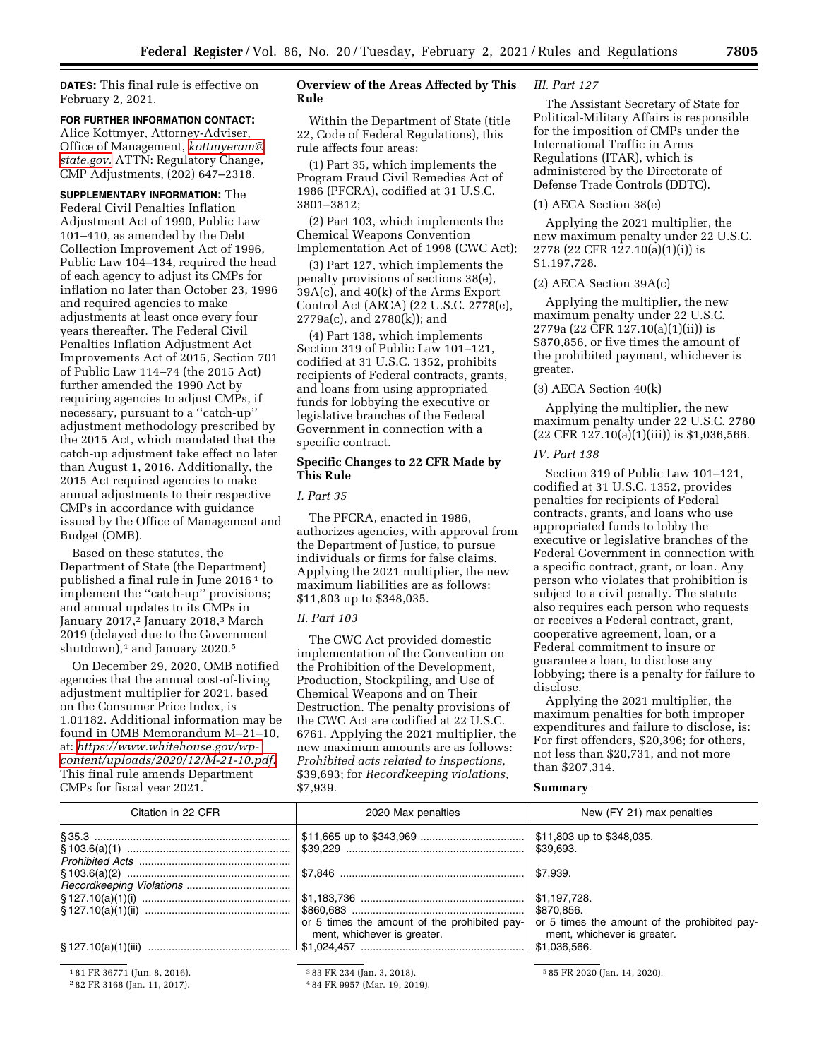**DATES:** This final rule is effective on February 2, 2021.

#### **FOR FURTHER INFORMATION CONTACT:**

Alice Kottmyer, Attorney-Adviser, Office of Management, *[kottmyeram@](mailto:kottmyeram@state.gov) [state.gov.](mailto:kottmyeram@state.gov)* ATTN: Regulatory Change, CMP Adjustments, (202) 647–2318.

**SUPPLEMENTARY INFORMATION:** The Federal Civil Penalties Inflation Adjustment Act of 1990, Public Law 101–410, as amended by the Debt Collection Improvement Act of 1996, Public Law 104–134, required the head of each agency to adjust its CMPs for inflation no later than October 23, 1996 and required agencies to make adjustments at least once every four years thereafter. The Federal Civil Penalties Inflation Adjustment Act Improvements Act of 2015, Section 701 of Public Law 114–74 (the 2015 Act) further amended the 1990 Act by requiring agencies to adjust CMPs, if necessary, pursuant to a ''catch-up'' adjustment methodology prescribed by the 2015 Act, which mandated that the catch-up adjustment take effect no later than August 1, 2016. Additionally, the 2015 Act required agencies to make annual adjustments to their respective CMPs in accordance with guidance issued by the Office of Management and Budget (OMB).

Based on these statutes, the Department of State (the Department) published a final rule in June 2016 1 to implement the ''catch-up'' provisions; and annual updates to its CMPs in January 2017,<sup>2</sup> January 2018,<sup>3</sup> March 2019 (delayed due to the Government shutdown),<sup>4</sup> and January 2020.<sup>5</sup>

On December 29, 2020, OMB notified agencies that the annual cost-of-living adjustment multiplier for 2021, based on the Consumer Price Index, is 1.01182. Additional information may be found in OMB Memorandum M–21–10, at: *[https://www.whitehouse.gov/wp](https://www.whitehouse.gov/wp-content/uploads/2020/12/M-21-10.pdf)[content/uploads/2020/12/M-21-10.pdf.](https://www.whitehouse.gov/wp-content/uploads/2020/12/M-21-10.pdf)*  This final rule amends Department CMPs for fiscal year 2021.

# **Overview of the Areas Affected by This Rule**

Within the Department of State (title 22, Code of Federal Regulations), this rule affects four areas:

(1) Part 35, which implements the Program Fraud Civil Remedies Act of 1986 (PFCRA), codified at 31 U.S.C. 3801–3812;

(2) Part 103, which implements the Chemical Weapons Convention Implementation Act of 1998 (CWC Act);

(3) Part 127, which implements the penalty provisions of sections 38(e), 39A(c), and 40(k) of the Arms Export Control Act (AECA) (22 U.S.C. 2778(e), 2779a(c), and 2780(k)); and

(4) Part 138, which implements Section 319 of Public Law 101–121, codified at 31 U.S.C. 1352, prohibits recipients of Federal contracts, grants, and loans from using appropriated funds for lobbying the executive or legislative branches of the Federal Government in connection with a specific contract.

# **Specific Changes to 22 CFR Made by This Rule**

#### *I. Part 35*

The PFCRA, enacted in 1986, authorizes agencies, with approval from the Department of Justice, to pursue individuals or firms for false claims. Applying the 2021 multiplier, the new maximum liabilities are as follows: \$11,803 up to \$348,035.

## *II. Part 103*

The CWC Act provided domestic implementation of the Convention on the Prohibition of the Development, Production, Stockpiling, and Use of Chemical Weapons and on Their Destruction. The penalty provisions of the CWC Act are codified at 22 U.S.C. 6761. Applying the 2021 multiplier, the new maximum amounts are as follows: *Prohibited acts related to inspections,*  \$39,693; for *Recordkeeping violations,*  \$7,939.

#### *III. Part 127*

The Assistant Secretary of State for Political-Military Affairs is responsible for the imposition of CMPs under the International Traffic in Arms Regulations (ITAR), which is administered by the Directorate of Defense Trade Controls (DDTC).

## (1) AECA Section 38(e)

Applying the 2021 multiplier, the new maximum penalty under 22 U.S.C. 2778 (22 CFR 127.10(a)(1)(i)) is \$1,197,728.

## (2) AECA Section 39A(c)

Applying the multiplier, the new maximum penalty under 22 U.S.C. 2779a (22 CFR 127.10(a)(1)(ii)) is \$870,856, or five times the amount of the prohibited payment, whichever is greater.

# (3) AECA Section 40(k)

Applying the multiplier, the new maximum penalty under 22 U.S.C. 2780 (22 CFR 127.10(a)(1)(iii)) is \$1,036,566.

#### *IV. Part 138*

Section 319 of Public Law 101–121, codified at 31 U.S.C. 1352, provides penalties for recipients of Federal contracts, grants, and loans who use appropriated funds to lobby the executive or legislative branches of the Federal Government in connection with a specific contract, grant, or loan. Any person who violates that prohibition is subject to a civil penalty. The statute also requires each person who requests or receives a Federal contract, grant, cooperative agreement, loan, or a Federal commitment to insure or guarantee a loan, to disclose any lobbying; there is a penalty for failure to disclose.

Applying the 2021 multiplier, the maximum penalties for both improper expenditures and failure to disclose, is: For first offenders, \$20,396; for others, not less than \$20,731, and not more than \$207,314.

## **Summary**

| Citation in 22 CFR | 2020 Max penalties                                                                                                               | New (FY 21) max penalties   |
|--------------------|----------------------------------------------------------------------------------------------------------------------------------|-----------------------------|
|                    |                                                                                                                                  | \$39.693.                   |
|                    |                                                                                                                                  |                             |
|                    |                                                                                                                                  |                             |
|                    |                                                                                                                                  |                             |
|                    | or 5 times the amount of the prohibited pay- $\vert$ or 5 times the amount of the prohibited pay-<br>ment, whichever is greater. | ment, whichever is greater. |
|                    |                                                                                                                                  |                             |
|                    |                                                                                                                                  |                             |

1 81 FR 36771 (Jun. 8, 2016).

2 82 FR 3168 (Jan. 11, 2017).

3 83 FR 234 (Jan. 3, 2018).

4 84 FR 9957 (Mar. 19, 2019).

5 85 FR 2020 (Jan. 14, 2020).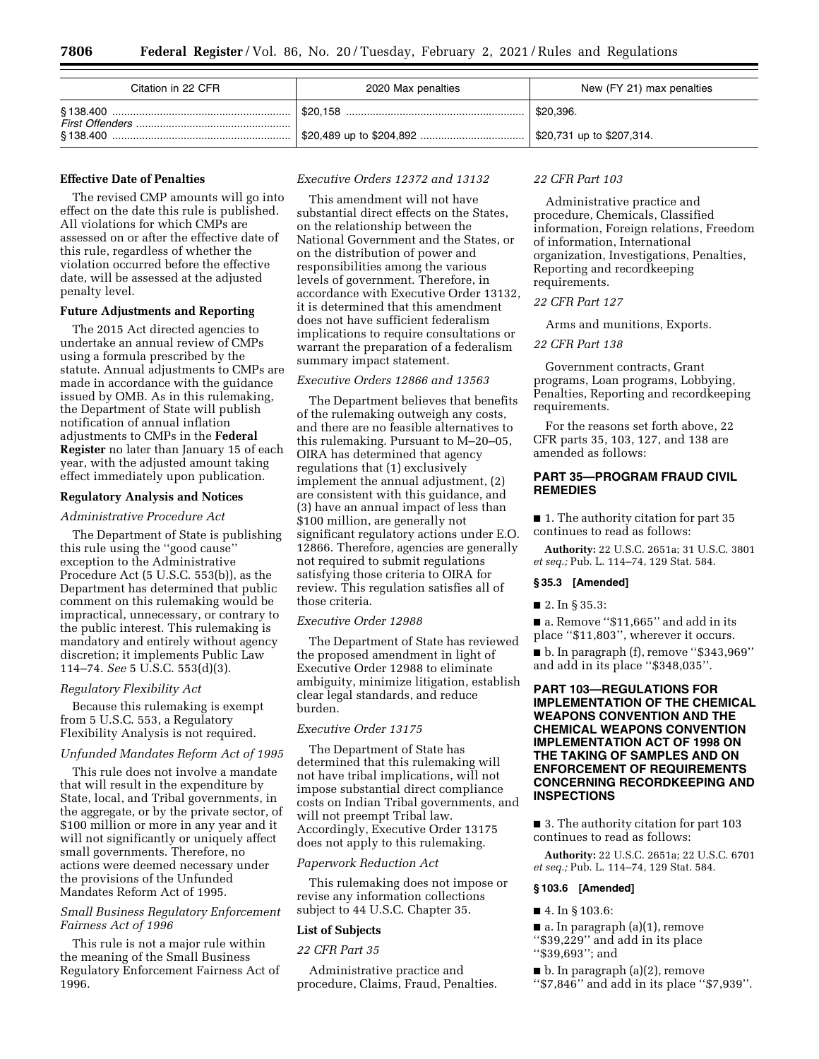| Citation in 22 CFR | 2020 Max penalties | New (FY 21) max penalties |
|--------------------|--------------------|---------------------------|
|                    |                    | $\vert$ \$20,396.         |
|                    |                    | \$20,731 up to \$207,314. |

#### **Effective Date of Penalties**

The revised CMP amounts will go into effect on the date this rule is published. All violations for which CMPs are assessed on or after the effective date of this rule, regardless of whether the violation occurred before the effective date, will be assessed at the adjusted penalty level.

## **Future Adjustments and Reporting**

The 2015 Act directed agencies to undertake an annual review of CMPs using a formula prescribed by the statute. Annual adjustments to CMPs are made in accordance with the guidance issued by OMB. As in this rulemaking, the Department of State will publish notification of annual inflation adjustments to CMPs in the **Federal Register** no later than January 15 of each year, with the adjusted amount taking effect immediately upon publication.

#### **Regulatory Analysis and Notices**

### *Administrative Procedure Act*

The Department of State is publishing this rule using the ''good cause'' exception to the Administrative Procedure Act (5 U.S.C. 553(b)), as the Department has determined that public comment on this rulemaking would be impractical, unnecessary, or contrary to the public interest. This rulemaking is mandatory and entirely without agency discretion; it implements Public Law 114–74. *See* 5 U.S.C. 553(d)(3).

## *Regulatory Flexibility Act*

Because this rulemaking is exempt from 5 U.S.C. 553, a Regulatory Flexibility Analysis is not required.

#### *Unfunded Mandates Reform Act of 1995*

This rule does not involve a mandate that will result in the expenditure by State, local, and Tribal governments, in the aggregate, or by the private sector, of \$100 million or more in any year and it will not significantly or uniquely affect small governments. Therefore, no actions were deemed necessary under the provisions of the Unfunded Mandates Reform Act of 1995.

## *Small Business Regulatory Enforcement Fairness Act of 1996*

This rule is not a major rule within the meaning of the Small Business Regulatory Enforcement Fairness Act of 1996.

## *Executive Orders 12372 and 13132*

This amendment will not have substantial direct effects on the States, on the relationship between the National Government and the States, or on the distribution of power and responsibilities among the various levels of government. Therefore, in accordance with Executive Order 13132, it is determined that this amendment does not have sufficient federalism implications to require consultations or warrant the preparation of a federalism summary impact statement.

#### *Executive Orders 12866 and 13563*

The Department believes that benefits of the rulemaking outweigh any costs, and there are no feasible alternatives to this rulemaking. Pursuant to M–20–05, OIRA has determined that agency regulations that (1) exclusively implement the annual adjustment, (2) are consistent with this guidance, and (3) have an annual impact of less than \$100 million, are generally not significant regulatory actions under E.O. 12866. Therefore, agencies are generally not required to submit regulations satisfying those criteria to OIRA for review. This regulation satisfies all of those criteria.

## *Executive Order 12988*

The Department of State has reviewed the proposed amendment in light of Executive Order 12988 to eliminate ambiguity, minimize litigation, establish clear legal standards, and reduce burden.

## *Executive Order 13175*

The Department of State has determined that this rulemaking will not have tribal implications, will not impose substantial direct compliance costs on Indian Tribal governments, and will not preempt Tribal law. Accordingly, Executive Order 13175 does not apply to this rulemaking.

#### *Paperwork Reduction Act*

This rulemaking does not impose or revise any information collections subject to 44 U.S.C. Chapter 35.

#### **List of Subjects**

*22 CFR Part 35* 

Administrative practice and procedure, Claims, Fraud, Penalties.

#### *22 CFR Part 103*

Administrative practice and procedure, Chemicals, Classified information, Foreign relations, Freedom of information, International organization, Investigations, Penalties, Reporting and recordkeeping requirements.

## *22 CFR Part 127*

Arms and munitions, Exports.

#### *22 CFR Part 138*

Government contracts, Grant programs, Loan programs, Lobbying, Penalties, Reporting and recordkeeping requirements.

For the reasons set forth above, 22 CFR parts 35, 103, 127, and 138 are amended as follows:

# **PART 35—PROGRAM FRAUD CIVIL REMEDIES**

■ 1. The authority citation for part 35 continues to read as follows:

**Authority:** 22 U.S.C. 2651a; 31 U.S.C. 3801 *et seq.;* Pub. L. 114–74, 129 Stat. 584.

### **§ 35.3 [Amended]**

#### ■ 2. In § 35.3:

■ a. Remove "\$11,665" and add in its place ''\$11,803'', wherever it occurs.

■ b. In paragraph (f), remove ''\$343,969'' and add in its place ''\$348,035''.

# **PART 103—REGULATIONS FOR IMPLEMENTATION OF THE CHEMICAL WEAPONS CONVENTION AND THE CHEMICAL WEAPONS CONVENTION IMPLEMENTATION ACT OF 1998 ON THE TAKING OF SAMPLES AND ON ENFORCEMENT OF REQUIREMENTS CONCERNING RECORDKEEPING AND INSPECTIONS**

■ 3. The authority citation for part 103 continues to read as follows:

**Authority:** 22 U.S.C. 2651a; 22 U.S.C. 6701 *et seq.;* Pub. L. 114–74, 129 Stat. 584.

#### **§ 103.6 [Amended]**

#### ■ 4. In § 103.6:

■ a. In paragraph (a)(1), remove ''\$39,229'' and add in its place ''\$39,693''; and

 $\blacksquare$  b. In paragraph (a)(2), remove

''\$7,846'' and add in its place ''\$7,939''.